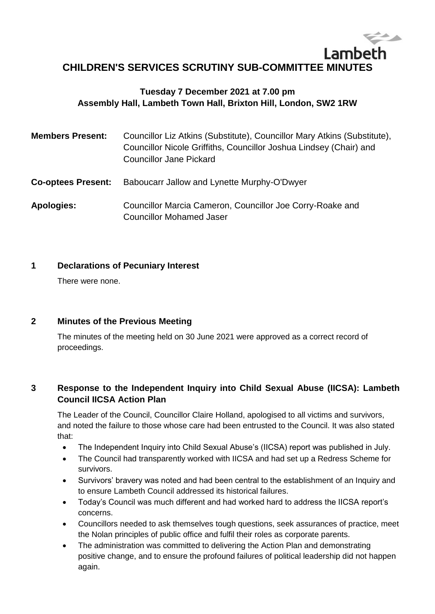# Lambeth **CHILDREN'S SERVICES SCRUTINY SUB-COMMITTEE MINUTES**

## **Tuesday 7 December 2021 at 7.00 pm Assembly Hall, Lambeth Town Hall, Brixton Hill, London, SW2 1RW**

| <b>Members Present:</b>   | Councillor Liz Atkins (Substitute), Councillor Mary Atkins (Substitute),<br>Councillor Nicole Griffiths, Councillor Joshua Lindsey (Chair) and<br><b>Councillor Jane Pickard</b> |
|---------------------------|----------------------------------------------------------------------------------------------------------------------------------------------------------------------------------|
| <b>Co-optees Present:</b> | Baboucarr Jallow and Lynette Murphy-O'Dwyer                                                                                                                                      |
| <b>Apologies:</b>         | Councillor Marcia Cameron, Councillor Joe Corry-Roake and<br><b>Councillor Mohamed Jaser</b>                                                                                     |

## **1 Declarations of Pecuniary Interest**

There were none.

## **2 Minutes of the Previous Meeting**

The minutes of the meeting held on 30 June 2021 were approved as a correct record of proceedings.

## **3 Response to the Independent Inquiry into Child Sexual Abuse (IICSA): Lambeth Council IICSA Action Plan**

The Leader of the Council, Councillor Claire Holland, apologised to all victims and survivors, and noted the failure to those whose care had been entrusted to the Council. It was also stated that:

- The Independent Inquiry into Child Sexual Abuse's (IICSA) report was published in July.
- The Council had transparently worked with IICSA and had set up a Redress Scheme for survivors.
- Survivors' bravery was noted and had been central to the establishment of an Inquiry and to ensure Lambeth Council addressed its historical failures.
- Today's Council was much different and had worked hard to address the IICSA report's concerns.
- Councillors needed to ask themselves tough questions, seek assurances of practice, meet the Nolan principles of public office and fulfil their roles as corporate parents.
- The administration was committed to delivering the Action Plan and demonstrating positive change, and to ensure the profound failures of political leadership did not happen again.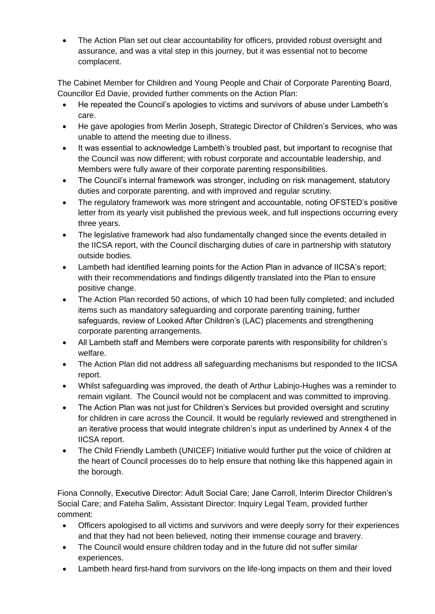The Action Plan set out clear accountability for officers, provided robust oversight and assurance, and was a vital step in this journey, but it was essential not to become complacent.

The Cabinet Member for Children and Young People and Chair of Corporate Parenting Board, Councillor Ed Davie, provided further comments on the Action Plan:

- He repeated the Council's apologies to victims and survivors of abuse under Lambeth's care.
- He gave apologies from Merlin Joseph, Strategic Director of Children's Services, who was unable to attend the meeting due to illness.
- It was essential to acknowledge Lambeth's troubled past, but important to recognise that the Council was now different; with robust corporate and accountable leadership, and Members were fully aware of their corporate parenting responsibilities.
- The Council's internal framework was stronger, including on risk management, statutory duties and corporate parenting, and with improved and regular scrutiny.
- The regulatory framework was more stringent and accountable, noting OFSTED's positive letter from its yearly visit published the previous week, and full inspections occurring every three years.
- The legislative framework had also fundamentally changed since the events detailed in the IICSA report, with the Council discharging duties of care in partnership with statutory outside bodies.
- Lambeth had identified learning points for the Action Plan in advance of IICSA's report; with their recommendations and findings diligently translated into the Plan to ensure positive change.
- The Action Plan recorded 50 actions, of which 10 had been fully completed; and included items such as mandatory safeguarding and corporate parenting training, further safeguards, review of Looked After Children's (LAC) placements and strengthening corporate parenting arrangements.
- All Lambeth staff and Members were corporate parents with responsibility for children's welfare.
- The Action Plan did not address all safeguarding mechanisms but responded to the IICSA report.
- Whilst safeguarding was improved, the death of Arthur Labinjo-Hughes was a reminder to remain vigilant. The Council would not be complacent and was committed to improving.
- The Action Plan was not just for Children's Services but provided oversight and scrutiny for children in care across the Council. It would be regularly reviewed and strengthened in an iterative process that would integrate children's input as underlined by Annex 4 of the IICSA report.
- The Child Friendly Lambeth (UNICEF) Initiative would further put the voice of children at the heart of Council processes do to help ensure that nothing like this happened again in the borough.

Fiona Connolly, Executive Director: Adult Social Care; Jane Carroll, Interim Director Children's Social Care; and Fateha Salim, Assistant Director: Inquiry Legal Team, provided further comment:

- Officers apologised to all victims and survivors and were deeply sorry for their experiences and that they had not been believed, noting their immense courage and bravery.
- The Council would ensure children today and in the future did not suffer similar experiences.
- Lambeth heard first-hand from survivors on the life-long impacts on them and their loved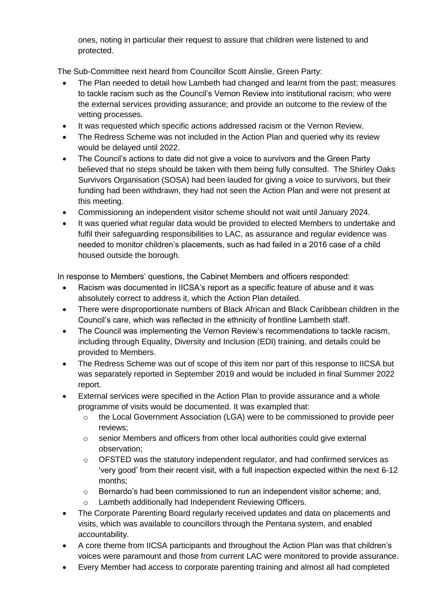ones, noting in particular their request to assure that children were listened to and protected.

The Sub-Committee next heard from Councillor Scott Ainslie, Green Party:

- The Plan needed to detail how Lambeth had changed and learnt from the past; measures to tackle racism such as the Council's Vernon Review into institutional racism; who were the external services providing assurance; and provide an outcome to the review of the vetting processes.
- It was requested which specific actions addressed racism or the Vernon Review.
- The Redress Scheme was not included in the Action Plan and queried why its review would be delayed until 2022.
- The Council's actions to date did not give a voice to survivors and the Green Party believed that no steps should be taken with them being fully consulted. The Shirley Oaks Survivors Organisation (SOSA) had been lauded for giving a voice to survivors, but their funding had been withdrawn, they had not seen the Action Plan and were not present at this meeting.
- Commissioning an independent visitor scheme should not wait until January 2024.
- It was queried what regular data would be provided to elected Members to undertake and fulfil their safeguarding responsibilities to LAC, as assurance and regular evidence was needed to monitor children's placements, such as had failed in a 2016 case of a child housed outside the borough.

In response to Members' questions, the Cabinet Members and officers responded:

- Racism was documented in IICSA's report as a specific feature of abuse and it was absolutely correct to address it, which the Action Plan detailed.
- There were disproportionate numbers of Black African and Black Caribbean children in the Council's care, which was reflected in the ethnicity of frontline Lambeth staff.
- The Council was implementing the Vernon Review's recommendations to tackle racism, including through Equality, Diversity and Inclusion (EDI) training, and details could be provided to Members.
- The Redress Scheme was out of scope of this item nor part of this response to IICSA but was separately reported in September 2019 and would be included in final Summer 2022 report.
- External services were specified in the Action Plan to provide assurance and a whole programme of visits would be documented. It was exampled that:
	- o the Local Government Association (LGA) were to be commissioned to provide peer reviews;
	- $\circ$  senior Members and officers from other local authorities could give external observation;
	- $\circ$  OFSTED was the statutory independent regulator, and had confirmed services as 'very good' from their recent visit, with a full inspection expected within the next 6-12 months;
	- o Bernardo's had been commissioned to run an independent visitor scheme; and,
	- o Lambeth additionally had Independent Reviewing Officers.
- The Corporate Parenting Board regularly received updates and data on placements and visits, which was available to councillors through the Pentana system, and enabled accountability.
- A core theme from IICSA participants and throughout the Action Plan was that children's voices were paramount and those from current LAC were monitored to provide assurance.
- Every Member had access to corporate parenting training and almost all had completed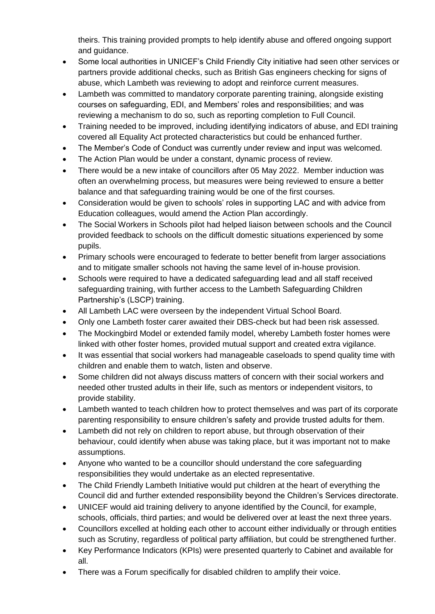theirs. This training provided prompts to help identify abuse and offered ongoing support and guidance.

- Some local authorities in UNICEF's Child Friendly City initiative had seen other services or partners provide additional checks, such as British Gas engineers checking for signs of abuse, which Lambeth was reviewing to adopt and reinforce current measures.
- Lambeth was committed to mandatory corporate parenting training, alongside existing courses on safeguarding, EDI, and Members' roles and responsibilities; and was reviewing a mechanism to do so, such as reporting completion to Full Council.
- Training needed to be improved, including identifying indicators of abuse, and EDI training covered all Equality Act protected characteristics but could be enhanced further.
- The Member's Code of Conduct was currently under review and input was welcomed.
- The Action Plan would be under a constant, dynamic process of review.
- There would be a new intake of councillors after 05 May 2022. Member induction was often an overwhelming process, but measures were being reviewed to ensure a better balance and that safeguarding training would be one of the first courses.
- Consideration would be given to schools' roles in supporting LAC and with advice from Education colleagues, would amend the Action Plan accordingly.
- The Social Workers in Schools pilot had helped liaison between schools and the Council provided feedback to schools on the difficult domestic situations experienced by some pupils.
- Primary schools were encouraged to federate to better benefit from larger associations and to mitigate smaller schools not having the same level of in-house provision.
- Schools were required to have a dedicated safeguarding lead and all staff received safeguarding training, with further access to the Lambeth Safeguarding Children Partnership's (LSCP) training.
- All Lambeth LAC were overseen by the independent Virtual School Board.
- Only one Lambeth foster carer awaited their DBS-check but had been risk assessed.
- The Mockingbird Model or extended family model, whereby Lambeth foster homes were linked with other foster homes, provided mutual support and created extra vigilance.
- It was essential that social workers had manageable caseloads to spend quality time with children and enable them to watch, listen and observe.
- Some children did not always discuss matters of concern with their social workers and needed other trusted adults in their life, such as mentors or independent visitors, to provide stability.
- Lambeth wanted to teach children how to protect themselves and was part of its corporate parenting responsibility to ensure children's safety and provide trusted adults for them.
- Lambeth did not rely on children to report abuse, but through observation of their behaviour, could identify when abuse was taking place, but it was important not to make assumptions.
- Anyone who wanted to be a councillor should understand the core safeguarding responsibilities they would undertake as an elected representative.
- The Child Friendly Lambeth Initiative would put children at the heart of everything the Council did and further extended responsibility beyond the Children's Services directorate.
- UNICEF would aid training delivery to anyone identified by the Council, for example, schools, officials, third parties; and would be delivered over at least the next three years.
- Councillors excelled at holding each other to account either individually or through entities such as Scrutiny, regardless of political party affiliation, but could be strengthened further.
- Key Performance Indicators (KPIs) were presented quarterly to Cabinet and available for all.
- There was a Forum specifically for disabled children to amplify their voice.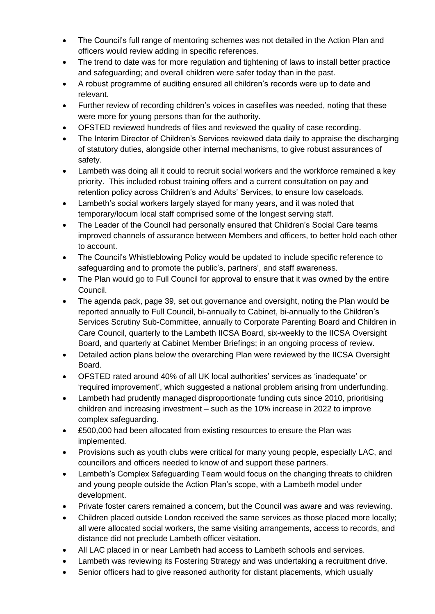- The Council's full range of mentoring schemes was not detailed in the Action Plan and officers would review adding in specific references.
- The trend to date was for more regulation and tightening of laws to install better practice and safeguarding; and overall children were safer today than in the past.
- A robust programme of auditing ensured all children's records were up to date and relevant.
- Further review of recording children's voices in casefiles was needed, noting that these were more for young persons than for the authority.
- OFSTED reviewed hundreds of files and reviewed the quality of case recording.
- The Interim Director of Children's Services reviewed data daily to appraise the discharging of statutory duties, alongside other internal mechanisms, to give robust assurances of safety.
- Lambeth was doing all it could to recruit social workers and the workforce remained a key priority. This included robust training offers and a current consultation on pay and retention policy across Children's and Adults' Services, to ensure low caseloads.
- Lambeth's social workers largely stayed for many years, and it was noted that temporary/locum local staff comprised some of the longest serving staff.
- The Leader of the Council had personally ensured that Children's Social Care teams improved channels of assurance between Members and officers, to better hold each other to account.
- The Council's Whistleblowing Policy would be updated to include specific reference to safeguarding and to promote the public's, partners', and staff awareness.
- The Plan would go to Full Council for approval to ensure that it was owned by the entire Council.
- The agenda pack, page 39, set out governance and oversight, noting the Plan would be reported annually to Full Council, bi-annually to Cabinet, bi-annually to the Children's Services Scrutiny Sub-Committee, annually to Corporate Parenting Board and Children in Care Council, quarterly to the Lambeth IICSA Board, six-weekly to the IICSA Oversight Board, and quarterly at Cabinet Member Briefings; in an ongoing process of review.
- Detailed action plans below the overarching Plan were reviewed by the IICSA Oversight Board.
- OFSTED rated around 40% of all UK local authorities' services as 'inadequate' or 'required improvement', which suggested a national problem arising from underfunding.
- Lambeth had prudently managed disproportionate funding cuts since 2010, prioritising children and increasing investment – such as the 10% increase in 2022 to improve complex safeguarding.
- £500,000 had been allocated from existing resources to ensure the Plan was implemented.
- Provisions such as youth clubs were critical for many young people, especially LAC, and councillors and officers needed to know of and support these partners.
- Lambeth's Complex Safeguarding Team would focus on the changing threats to children and young people outside the Action Plan's scope, with a Lambeth model under development.
- Private foster carers remained a concern, but the Council was aware and was reviewing.
- Children placed outside London received the same services as those placed more locally; all were allocated social workers, the same visiting arrangements, access to records, and distance did not preclude Lambeth officer visitation.
- All LAC placed in or near Lambeth had access to Lambeth schools and services.
- Lambeth was reviewing its Fostering Strategy and was undertaking a recruitment drive.
- Senior officers had to give reasoned authority for distant placements, which usually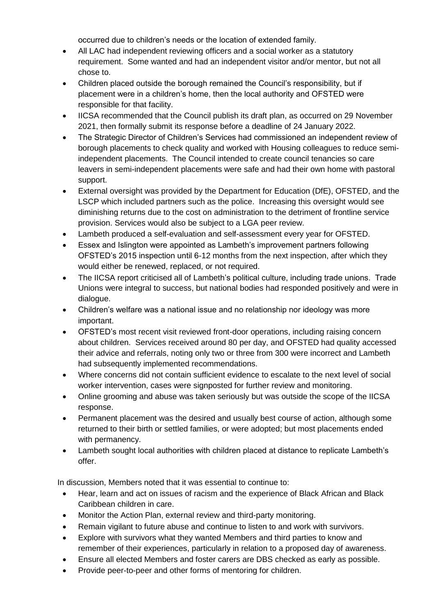occurred due to children's needs or the location of extended family.

- All LAC had independent reviewing officers and a social worker as a statutory requirement. Some wanted and had an independent visitor and/or mentor, but not all chose to.
- Children placed outside the borough remained the Council's responsibility, but if placement were in a children's home, then the local authority and OFSTED were responsible for that facility.
- IICSA recommended that the Council publish its draft plan, as occurred on 29 November 2021, then formally submit its response before a deadline of 24 January 2022.
- The Strategic Director of Children's Services had commissioned an independent review of borough placements to check quality and worked with Housing colleagues to reduce semiindependent placements. The Council intended to create council tenancies so care leavers in semi-independent placements were safe and had their own home with pastoral support.
- External oversight was provided by the Department for Education (DfE), OFSTED, and the LSCP which included partners such as the police. Increasing this oversight would see diminishing returns due to the cost on administration to the detriment of frontline service provision. Services would also be subject to a LGA peer review.
- Lambeth produced a self-evaluation and self-assessment every year for OFSTED.
- Essex and Islington were appointed as Lambeth's improvement partners following OFSTED's 2015 inspection until 6-12 months from the next inspection, after which they would either be renewed, replaced, or not required.
- The IICSA report criticised all of Lambeth's political culture, including trade unions. Trade Unions were integral to success, but national bodies had responded positively and were in dialogue.
- Children's welfare was a national issue and no relationship nor ideology was more important.
- OFSTED's most recent visit reviewed front-door operations, including raising concern about children. Services received around 80 per day, and OFSTED had quality accessed their advice and referrals, noting only two or three from 300 were incorrect and Lambeth had subsequently implemented recommendations.
- Where concerns did not contain sufficient evidence to escalate to the next level of social worker intervention, cases were signposted for further review and monitoring.
- Online grooming and abuse was taken seriously but was outside the scope of the IICSA response.
- Permanent placement was the desired and usually best course of action, although some returned to their birth or settled families, or were adopted; but most placements ended with permanency.
- Lambeth sought local authorities with children placed at distance to replicate Lambeth's offer.

In discussion, Members noted that it was essential to continue to:

- Hear, learn and act on issues of racism and the experience of Black African and Black Caribbean children in care.
- Monitor the Action Plan, external review and third-party monitoring.
- Remain vigilant to future abuse and continue to listen to and work with survivors.
- Explore with survivors what they wanted Members and third parties to know and remember of their experiences, particularly in relation to a proposed day of awareness.
- Ensure all elected Members and foster carers are DBS checked as early as possible.
- Provide peer-to-peer and other forms of mentoring for children.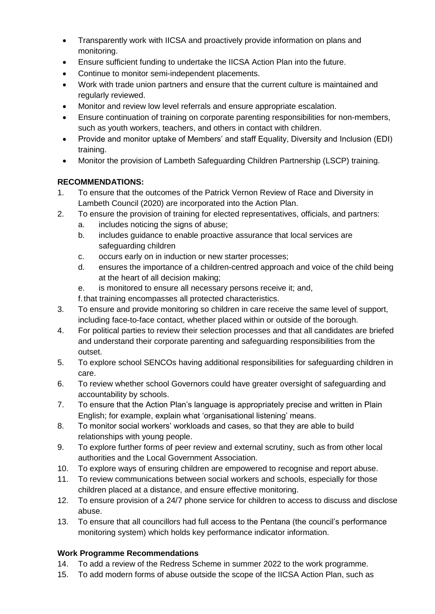- Transparently work with IICSA and proactively provide information on plans and monitoring.
- Ensure sufficient funding to undertake the IICSA Action Plan into the future.
- Continue to monitor semi-independent placements.
- Work with trade union partners and ensure that the current culture is maintained and regularly reviewed.
- Monitor and review low level referrals and ensure appropriate escalation.
- Ensure continuation of training on corporate parenting responsibilities for non-members, such as youth workers, teachers, and others in contact with children.
- Provide and monitor uptake of Members' and staff Equality, Diversity and Inclusion (EDI) training.
- Monitor the provision of Lambeth Safeguarding Children Partnership (LSCP) training.

## **RECOMMENDATIONS:**

- 1. To ensure that the outcomes of the Patrick Vernon Review of Race and Diversity in Lambeth Council (2020) are incorporated into the Action Plan.
- 2. To ensure the provision of training for elected representatives, officials, and partners:
	- a. includes noticing the signs of abuse;
	- b. includes guidance to enable proactive assurance that local services are safeguarding children
	- c. occurs early on in induction or new starter processes;
	- d. ensures the importance of a children-centred approach and voice of the child being at the heart of all decision making;
	- e. is monitored to ensure all necessary persons receive it; and,
	- f.that training encompasses all protected characteristics.
- 3. To ensure and provide monitoring so children in care receive the same level of support, including face-to-face contact, whether placed within or outside of the borough.
- 4. For political parties to review their selection processes and that all candidates are briefed and understand their corporate parenting and safeguarding responsibilities from the outset.
- 5. To explore school SENCOs having additional responsibilities for safeguarding children in care.
- 6. To review whether school Governors could have greater oversight of safeguarding and accountability by schools.
- 7. To ensure that the Action Plan's language is appropriately precise and written in Plain English; for example, explain what 'organisational listening' means.
- 8. To monitor social workers' workloads and cases, so that they are able to build relationships with young people.
- 9. To explore further forms of peer review and external scrutiny, such as from other local authorities and the Local Government Association.
- 10. To explore ways of ensuring children are empowered to recognise and report abuse.
- 11. To review communications between social workers and schools, especially for those children placed at a distance, and ensure effective monitoring.
- 12. To ensure provision of a 24/7 phone service for children to access to discuss and disclose abuse.
- 13. To ensure that all councillors had full access to the Pentana (the council's performance monitoring system) which holds key performance indicator information.

## **Work Programme Recommendations**

- 14. To add a review of the Redress Scheme in summer 2022 to the work programme.
- 15. To add modern forms of abuse outside the scope of the IICSA Action Plan, such as